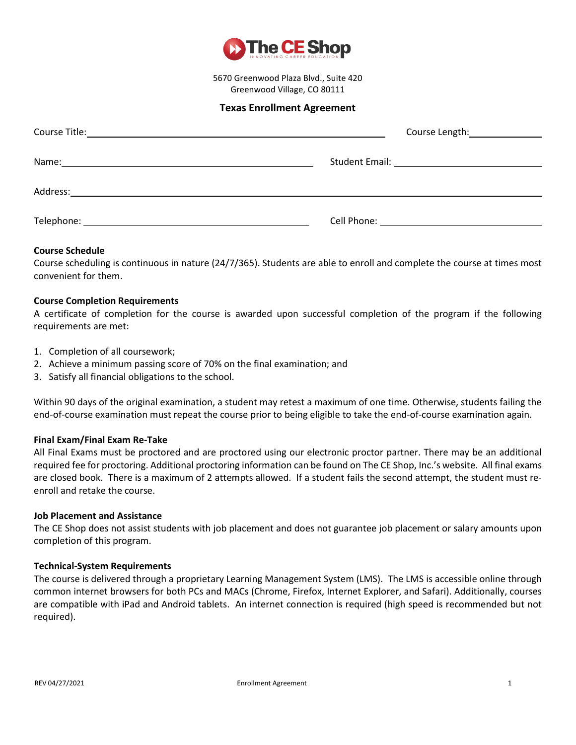

5670 Greenwood Plaza Blvd., Suite 420 Greenwood Village, CO 80111

# **Texas Enrollment Agreement**

|                                                                                                                                                                                                                               | Course Length: \\square\\sqrt{\sqrt{\sqrt{\sqrt{\sqrt{\sqrt{\sqrt{\sqrt{\sqrt{\sqrt{\sqrt{\sqrt{\sqrt{\sqrt{\sqrt{\sqrt{\sqrt{\sqrt{\sqrt{\sqrt{\sqrt{\sqrt{\sqrt{\sqrt{\sqrt{\sqrt{\sqrt{\sqrt{\sqrt{\sqrt{\sqrt{\sqrt{\sqrt{ |  |
|-------------------------------------------------------------------------------------------------------------------------------------------------------------------------------------------------------------------------------|--------------------------------------------------------------------------------------------------------------------------------------------------------------------------------------------------------------------------------|--|
| Name: Name and the second contract of the second contract of the second contract of the second contract of the second contract of the second contract of the second contract of the second contract of the second contract of |                                                                                                                                                                                                                                |  |
|                                                                                                                                                                                                                               |                                                                                                                                                                                                                                |  |
|                                                                                                                                                                                                                               |                                                                                                                                                                                                                                |  |

### **Course Schedule**

Course scheduling is continuous in nature (24/7/365). Students are able to enroll and complete the course at times most convenient for them.

### **Course Completion Requirements**

A certificate of completion for the course is awarded upon successful completion of the program if the following requirements are met:

- 1. Completion of all coursework;
- 2. Achieve a minimum passing score of 70% on the final examination; and
- 3. Satisfy all financial obligations to the school.

Within 90 days of the original examination, a student may retest a maximum of one time. Otherwise, students failing the end-of-course examination must repeat the course prior to being eligible to take the end-of-course examination again.

### **Final Exam/Final Exam Re-Take**

All Final Exams must be proctored and are proctored using our electronic proctor partner. There may be an additional required fee for proctoring. Additional proctoring information can be found on The CE Shop, Inc.'s website. All final exams are closed book. There is a maximum of 2 attempts allowed. If a student fails the second attempt, the student must reenroll and retake the course.

### **Job Placement and Assistance**

The CE Shop does not assist students with job placement and does not guarantee job placement or salary amounts upon completion of this program.

### **Technical-System Requirements**

The course is delivered through a proprietary Learning Management System (LMS). The LMS is accessible online through common internet browsers for both PCs and MACs (Chrome, Firefox, Internet Explorer, and Safari). Additionally, courses are compatible with iPad and Android tablets. An internet connection is required (high speed is recommended but not required).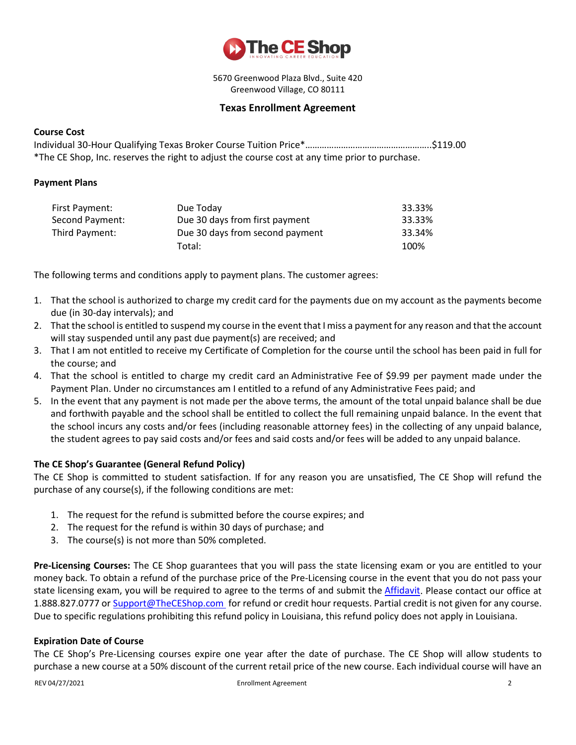

5670 Greenwood Plaza Blvd., Suite 420 Greenwood Village, CO 80111

# **Texas Enrollment Agreement**

### **Course Cost**

Individual 30-Hour Qualifying Texas Broker Course Tuition Price\*……………………………………………..\$119.00 \*The CE Shop, Inc. reserves the right to adjust the course cost at any time prior to purchase.

### **Payment Plans**

| First Payment:  | Due Today                       | 33.33% |
|-----------------|---------------------------------|--------|
| Second Payment: | Due 30 days from first payment  | 33.33% |
| Third Payment:  | Due 30 days from second payment | 33.34% |
|                 | Total:                          | 100%   |

The following terms and conditions apply to payment plans. The customer agrees:

- 1. That the school is authorized to charge my credit card for the payments due on my account as the payments become due (in 30-day intervals); and
- 2. That the school is entitled to suspend my course in the event that I miss a payment for any reason and that the account will stay suspended until any past due payment(s) are received; and
- 3. That I am not entitled to receive my Certificate of Completion for the course until the school has been paid in full for the course; and
- 4. That the school is entitled to charge my credit card an Administrative Fee of \$9.99 per payment made under the Payment Plan. Under no circumstances am I entitled to a refund of any Administrative Fees paid; and
- 5. In the event that any payment is not made per the above terms, the amount of the total unpaid balance shall be due and forthwith payable and the school shall be entitled to collect the full remaining unpaid balance. In the event that the school incurs any costs and/or fees (including reasonable attorney fees) in the collecting of any unpaid balance, the student agrees to pay said costs and/or fees and said costs and/or fees will be added to any unpaid balance.

## **The CE Shop's Guarantee (General Refund Policy)**

The CE Shop is committed to student satisfaction. If for any reason you are unsatisfied, The CE Shop will refund the purchase of any course(s), if the following conditions are met:

- 1. The request for the refund is submitted before the course expires; and
- 2. The request for the refund is within 30 days of purchase; and
- 3. The course(s) is not more than 50% completed.

**Pre-Licensing Courses:** The CE Shop guarantees that you will pass the state licensing exam or you are entitled to your money back. To obtain a refund of the purchase price of the Pre-Licensing course in the event that you do not pass your state licensing exam, you will be required to agree to the terms of and submit the [Affidavit.](mailto:Affidavit) Please contact our office at 1.888.827.0777 or [Support@TheCEShop.com](mailto:support@theceshop.com) for refund or credit hour requests. Partial credit is not given for any course. Due to specific regulations prohibiting this refund policy in Louisiana, this refund policy does not apply in Louisiana.

### **Expiration Date of Course**

The CE Shop's Pre-Licensing courses expire one year after the date of purchase. The CE Shop will allow students to purchase a new course at a 50% discount of the current retail price of the new course. Each individual course will have an